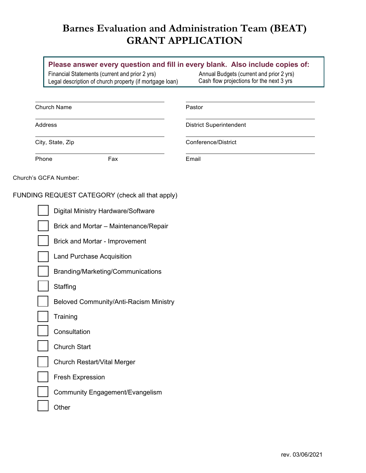## **Barnes Evaluation and Administration Team (BEAT) GRANT APPLICATION**

## **Please answer every question and fill in every blank. Also include copies of:**

Financial Statements (current and prior 2 yrs) Legal description of church property (if mortgage loan) Annual Budgets (current and prior 2 yrs)<br>Cash flow projections for the next 3 yrs

| <b>Church Name</b>    |                                                 | Pastor                         |  |  |  |  |  |
|-----------------------|-------------------------------------------------|--------------------------------|--|--|--|--|--|
| Address               |                                                 | <b>District Superintendent</b> |  |  |  |  |  |
| City, State, Zip      |                                                 | Conference/District            |  |  |  |  |  |
| Phone                 | Fax                                             | Email                          |  |  |  |  |  |
| Church's GCFA Number: |                                                 |                                |  |  |  |  |  |
|                       | FUNDING REQUEST CATEGORY (check all that apply) |                                |  |  |  |  |  |
|                       | Digital Ministry Hardware/Software              |                                |  |  |  |  |  |
|                       | Brick and Mortar - Maintenance/Repair           |                                |  |  |  |  |  |
|                       | Brick and Mortar - Improvement                  |                                |  |  |  |  |  |
|                       | <b>Land Purchase Acquisition</b>                |                                |  |  |  |  |  |
|                       | Branding/Marketing/Communications               |                                |  |  |  |  |  |
|                       | Staffing                                        |                                |  |  |  |  |  |
|                       | Beloved Community/Anti-Racism Ministry          |                                |  |  |  |  |  |
|                       | Training                                        |                                |  |  |  |  |  |
|                       | Consultation                                    |                                |  |  |  |  |  |
|                       | <b>Church Start</b>                             |                                |  |  |  |  |  |
|                       | Church Restart/Vital Merger                     |                                |  |  |  |  |  |
|                       | Fresh Expression                                |                                |  |  |  |  |  |
|                       | <b>Community Engagement/Evangelism</b>          |                                |  |  |  |  |  |
|                       | Other                                           |                                |  |  |  |  |  |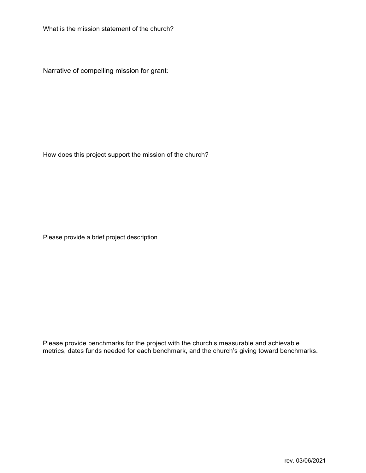What is the mission statement of the church?

Narrative of compelling mission for grant:

How does this project support the mission of the church?

Please provide a brief project description.

Please provide benchmarks for the project with the church's measurable and achievable metrics, dates funds needed for each benchmark, and the church's giving toward benchmarks.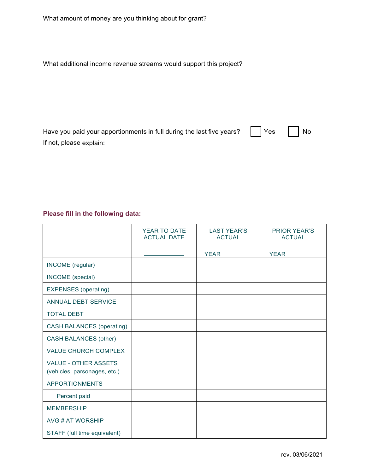What additional income revenue streams would support this project?

| Have you paid your apportionments in full during the last five years? $\begin{array}{ c c }\hline \text{Yes} & \begin{array}{ c c }\hline \text{Yes} & \end{array} \hline \end{array}$ No |  |
|-------------------------------------------------------------------------------------------------------------------------------------------------------------------------------------------|--|
| If not, please explain:                                                                                                                                                                   |  |

## **Please fill in the following data:**

|                                                             | YEAR TO DATE<br><b>ACTUAL DATE</b> | <b>LAST YEAR'S</b><br><b>ACTUAL</b> | <b>PRIOR YEAR'S</b><br><b>ACTUAL</b> |
|-------------------------------------------------------------|------------------------------------|-------------------------------------|--------------------------------------|
|                                                             |                                    | YEAR ______                         | YEAR_                                |
| INCOME (regular)                                            |                                    |                                     |                                      |
| INCOME (special)                                            |                                    |                                     |                                      |
| <b>EXPENSES</b> (operating)                                 |                                    |                                     |                                      |
| ANNUAL DEBT SERVICE                                         |                                    |                                     |                                      |
| <b>TOTAL DEBT</b>                                           |                                    |                                     |                                      |
| <b>CASH BALANCES (operating)</b>                            |                                    |                                     |                                      |
| <b>CASH BALANCES (other)</b>                                |                                    |                                     |                                      |
| <b>VALUE CHURCH COMPLEX</b>                                 |                                    |                                     |                                      |
| <b>VALUE - OTHER ASSETS</b><br>(vehicles, parsonages, etc.) |                                    |                                     |                                      |
| <b>APPORTIONMENTS</b>                                       |                                    |                                     |                                      |
| Percent paid                                                |                                    |                                     |                                      |
| <b>MEMBERSHIP</b>                                           |                                    |                                     |                                      |
| AVG # AT WORSHIP                                            |                                    |                                     |                                      |
| STAFF (full time equivalent)                                |                                    |                                     |                                      |